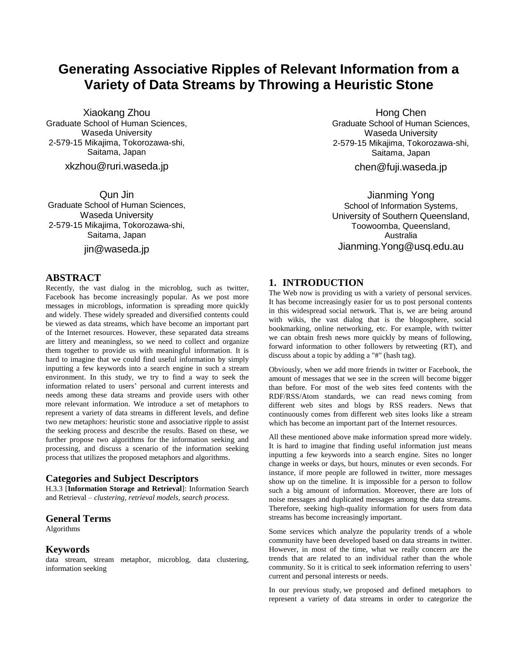# **Generating Associative Ripples of Relevant Information from a Variety of Data Streams by Throwing a Heuristic Stone**

Xiaokang Zhou Graduate School of Human Sciences, Waseda University 2-579-15 Mikajima, Tokorozawa-shi, Saitama, Japan

xkzhou@ruri.waseda.jp

Qun Jin Graduate School of Human Sciences, Waseda University 2-579-15 Mikajima, Tokorozawa-shi, Saitama, Japan

jin@waseda.jp

# **ABSTRACT**

Recently, the vast dialog in the microblog, such as twitter, Facebook has become increasingly popular. As we post more messages in microblogs, information is spreading more quickly and widely. These widely spreaded and diversified contents could be viewed as data streams, which have become an important part of the Internet resources. However, these separated data streams are littery and meaningless, so we need to collect and organize them together to provide us with meaningful information. It is hard to imagine that we could find useful information by simply inputting a few keywords into a search engine in such a stream environment. In this study, we try to find a way to seek the information related to users' personal and current interests and needs among these data streams and provide users with other more relevant information. We introduce a set of metaphors to represent a variety of data streams in different levels, and define two new metaphors: heuristic stone and associative ripple to assist the seeking process and describe the results. Based on these, we further propose two algorithms for the information seeking and processing, and discuss a scenario of the information seeking process that utilizes the proposed metaphors and algorithms.

# **Categories and Subject Descriptors**

H.3.3 [**Information Storage and Retrieval**]: Information Search and Retrieval – *clustering, retrieval models, search process.*

#### **General Terms**

Algorithms

#### **Keywords**

data stream, stream metaphor, microblog, data clustering, information seeking

Hong Chen Graduate School of Human Sciences, Waseda University 2-579-15 Mikajima, Tokorozawa-shi, Saitama, Japan

chen@fuji.waseda.jp

Jianming Yong School of Information Systems, University of Southern Queensland, Toowoomba, Queensland, Australia Jianming.Yong@usq.edu.au

# **1. INTRODUCTION**

The Web now is providing us with a variety of personal services. It has become increasingly easier for us to post personal contents in this widespread social network. That is, we are being around with wikis, the vast dialog that is the blogosphere, social bookmarking, online networking, etc. For example, with twitter we can obtain fresh news more quickly by means of following, forward information to other followers by retweeting (RT), and discuss about a topic by adding a "#" (hash tag).

Obviously, when we add more friends in twitter or Facebook, the amount of messages that we see in the screen will become bigger than before. For most of the web sites feed contents with the RDF/RSS/Atom standards, we can read news coming from different web sites and blogs by RSS readers. News that continuously comes from different web sites looks like a stream which has become an important part of the Internet resources.

All these mentioned above make information spread more widely. It is hard to imagine that finding useful information just means inputting a few keywords into a search engine. Sites no longer change in weeks or days, but hours, minutes or even seconds. For instance, if more people are followed in twitter, more messages show up on the timeline. It is impossible for a person to follow such a big amount of information. Moreover, there are lots of noise messages and duplicated messages among the data streams. Therefore, seeking high-quality information for users from data streams has become increasingly important.

Some services which analyze the popularity trends of a whole community have been developed based on data streams in twitter. However, in most of the time, what we really concern are the trends that are related to an individual rather than the whole community. So it is critical to seek information referring to users' current and personal interests or needs.

In our previous study, we proposed and defined metaphors to represent a variety of data streams in order to categorize the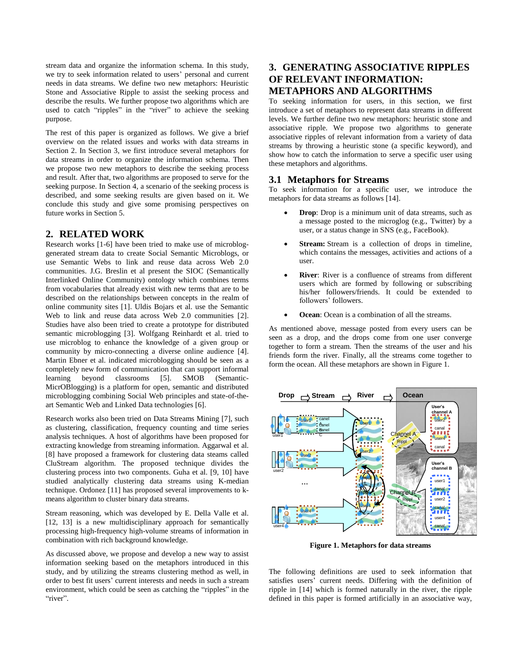stream data and organize the information schema. In this study, we try to seek information related to users' personal and current needs in data streams. We define two new metaphors: Heuristic Stone and Associative Ripple to assist the seeking process and describe the results. We further propose two algorithms which are used to catch "ripples" in the "river" to achieve the seeking purpose.

The rest of this paper is organized as follows. We give a brief overview on the related issues and works with data streams in Section 2. In Section 3, we first introduce several metaphors for data streams in order to organize the information schema. Then we propose two new metaphors to describe the seeking process and result. After that, two algorithms are proposed to serve for the seeking purpose. In Section 4, a scenario of the seeking process is described, and some seeking results are given based on it. We conclude this study and give some promising perspectives on future works in Section 5.

# **2. RELATED WORK**

Research works [1-6] have been tried to make use of microbloggenerated stream data to create Social Semantic Microblogs, or use Semantic Webs to link and reuse data across Web 2.0 communities. J.G. Breslin et al present the SIOC (Semantically Interlinked Online Community) ontology which combines terms from vocabularies that already exist with new terms that are to be described on the relationships between concepts in the realm of online community sites [1]. Uldis Bojars et al. use the Semantic Web to link and reuse data across Web 2.0 communities [2]. Studies have also been tried to create a prototype for distributed semantic microblogging [3]. Wolfgang Reinhardt et al. tried to use microblog to enhance the knowledge of a given group or community by micro-connecting a diverse online audience [4]. Martin Ebner et al. indicated microblogging should be seen as a completely new form of communication that can support informal learning beyond classrooms [5]. SMOB (Semantic-MicrOBlogging) is a platform for open, semantic and distributed microblogging combining Social Web principles and state-of-theart Semantic Web and Linked Data technologies [6].

Research works also been tried on Data Streams Mining [7], such as clustering, classification, frequency counting and time series analysis techniques. A host of algorithms have been proposed for extracting knowledge from streaming information. Aggarwal et al. [8] have proposed a framework for clustering data steams called CluStream algorithm. The proposed technique divides the clustering process into two components. Guha et al. [9, 10] have studied analytically clustering data streams using K-median technique. Ordonez [11] has proposed several improvements to kmeans algorithm to cluster binary data streams.

Stream reasoning, which was developed by E. Della Valle et al. [12, 13] is a new multidisciplinary approach for semantically processing high-frequency high-volume streams of information in combination with rich background knowledge.

As discussed above, we propose and develop a new way to assist information seeking based on the metaphors introduced in this study, and by utilizing the streams clustering method as well, in order to best fit users' current interests and needs in such a stream environment, which could be seen as catching the "ripples" in the "river".

# **3. GENERATING ASSOCIATIVE RIPPLES OF RELEVANT INFORMATION: METAPHORS AND ALGORITHMS**

To seeking information for users, in this section, we first introduce a set of metaphors to represent data streams in different levels. We further define two new metaphors: heuristic stone and associative ripple. We propose two algorithms to generate associative ripples of relevant information from a variety of data streams by throwing a heuristic stone (a specific keyword), and show how to catch the information to serve a specific user using these metaphors and algorithms.

#### **3.1 Metaphors for Streams**

To seek information for a specific user, we introduce the metaphors for data streams as follows [14].

- **Drop**: Drop is a minimum unit of data streams, such as a message posted to the microglog (e.g., Twitter) by a user, or a status change in SNS (e.g., FaceBook).
- **Stream:** Stream is a collection of drops in timeline, which contains the messages, activities and actions of a user.
- **River**: River is a confluence of streams from different users which are formed by following or subscribing his/her followers/friends. It could be extended to followers' followers.
- **Ocean**: Ocean is a combination of all the streams.

As mentioned above, message posted from every users can be seen as a drop, and the drops come from one user converge together to form a stream. Then the streams of the user and his friends form the river. Finally, all the streams come together to form the ocean. All these metaphors are shown in Figure 1.



**Figure 1. Metaphors for data streams**

The following definitions are used to seek information that satisfies users' current needs. Differing with the definition of ripple in [14] which is formed naturally in the river, the ripple defined in this paper is formed artificially in an associative way,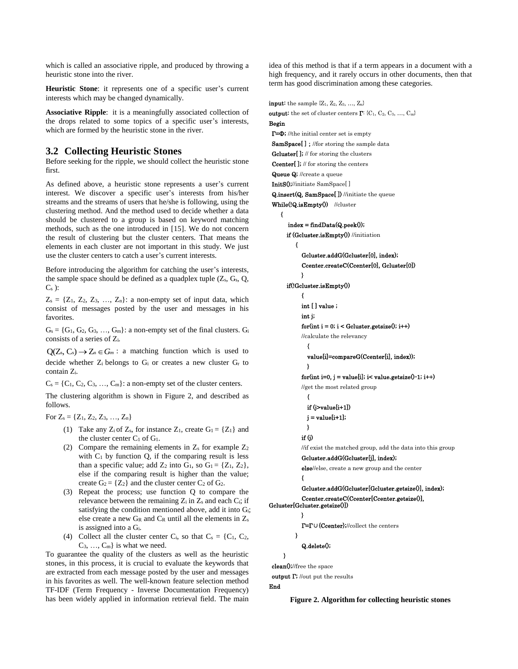which is called an associative ripple, and produced by throwing a heuristic stone into the river.

**Heuristic Stone**: it represents one of a specific user's current interests which may be changed dynamically.

**Associative Ripple**: it is a meaningfully associated collection of the drops related to some topics of a specific user's interests, which are formed by the heuristic stone in the river.

### **3.2 Collecting Heuristic Stones**

Before seeking for the ripple, we should collect the heuristic stone first.

As defined above, a heuristic stone represents a user's current interest. We discover a specific user's interests from his/her streams and the streams of users that he/she is following, using the clustering method. And the method used to decide whether a data should be clustered to a group is based on keyword matching methods, such as the one introduced in [15]. We do not concern the result of clustering but the cluster centers. That means the elements in each cluster are not important in this study. We just use the cluster centers to catch a user's current interests.

Before introducing the algorithm for catching the user's interests, the sample space should be defined as a quadplex tuple  $(Z_s, G_s, Q_s)$  $C_s$  ):

 $Z_s = \{Z_1, Z_2, Z_3, \ldots, Z_n\}$ : a non-empty set of input data, which consist of messages posted by the user and messages in his favorites.

 $G_s = \{G_1, G_2, G_3, \ldots, G_m\}$ : a non-empty set of the final clusters.  $G_i$ consists of a series of Zi.

 $Q(Z_s, C_s) \rightarrow Z_a \in G_m$ : a matching function which is used to decide whether Z<sup>i</sup> belongs to G<sup>i</sup> or creates a new cluster G<sup>r</sup> to contain Zi.

 $C_s = \{C_1, C_2, C_3, \ldots, C_m\}$ : a non-empty set of the cluster centers.

The clustering algorithm is shown in Figure 2, and described as follows.

For  $Z_s = \{Z_1, Z_2, Z_3, \ldots, Z_n\}$ 

- (1) Take any  $Z_i$  of  $Z_s$ , for instance  $Z_1$ , create  $G_1 = \{Z_1\}$  and the cluster center  $C_1$  of  $G_1$ .
- (2) Compare the remaining elements in  $Z_s$  for example  $Z_2$ with  $C_1$  by function  $Q$ , if the comparing result is less than a specific value; add  $Z_2$  into  $G_1$ , so  $G_1 = \{Z_1, Z_2\}$ , else if the comparing result is higher than the value; create  $G_2 = \{Z_2\}$  and the cluster center  $C_2$  of  $G_2$ .
- (3) Repeat the process; use function Q to compare the relevance between the remaining  $Z_i$  in  $Z_s$  and each  $C_i$ ; if satisfying the condition mentioned above, add it into Gi; else create a new  $G_R$  and  $C_R$  until all the elements in  $Z_s$ is assigned into a Gi.
- (4) Collect all the cluster center  $C_i$ , so that  $C_s = \{C_1, C_2,$  $C_3, \ldots, C_m$  is what we need.

To guarantee the quality of the clusters as well as the heuristic stones, in this process, it is crucial to evaluate the keywords that are extracted from each message posted by the user and messages in his favorites as well. The well-known feature selection method TF-IDF (Term Frequency - Inverse Documentation Frequency) has been widely applied in information retrieval field. The main

idea of this method is that if a term appears in a document with a high frequency, and it rarely occurs in other documents, then that term has good discrimination among these categories.

**input:** the sample  $\{Z_1, Z_2, Z_3, \ldots, Z_n\}$ **output:** the set of cluster centers  $\mathbf{\Gamma}$ : {C<sub>1</sub>, C<sub>2</sub>, C<sub>3</sub>, ..., C<sub>m</sub>} Begin Γ=Ф; //the initial center set is empty SamSpace<sup>[]</sup>; //for storing the sample data Gcluster[ ]; // for storing the clusters Ccenter[ ]; // for storing the centers Queue Q; //create a queue InitS();//initiate SamSpace[ ] Q.insert(Q, SamSpace[ ]) //initiate the queue While(!Q.isEmpty()) //cluster {  $index = findData(Q, peak());$ if (Gcluster.isEmpty()) //initiation { Gcluster.addG(Gcluster[0], index); Ccenter.createC(Ccenter[0], Gcluster[0]) } if(!Gcluster.isEmpty()) { int [] value; int j;  $\quad$  for<br>(int i = 0; i < Gcluster.getsize(); i++) //calculate the relevancy { value[i]=compareG(Ccenter[i], index)); } for(int i=0, j = value[i]; i< value.getsize $()$ -1; i++) //get the most related group { if (j>value[i+1])  $j = value[i+1];$ } if (j) //if exist the matched group, add the data into this group Gcluster.addG(Gcluster[j], index); else//else, create a new group and the center { Gcluster.addG(Gcluster[Gcluster.getsize()], index); Ccenter.createC(Ccenter[Ccenter.getsize()], Gcluster[Gcluster.getsize()]) } Γ=Γ∪{Ccenter};//collect the centers } Q.delete(); } clean();//free the space output Γ; //out put the results End

**Figure 2. Algorithm for collecting heuristic stones**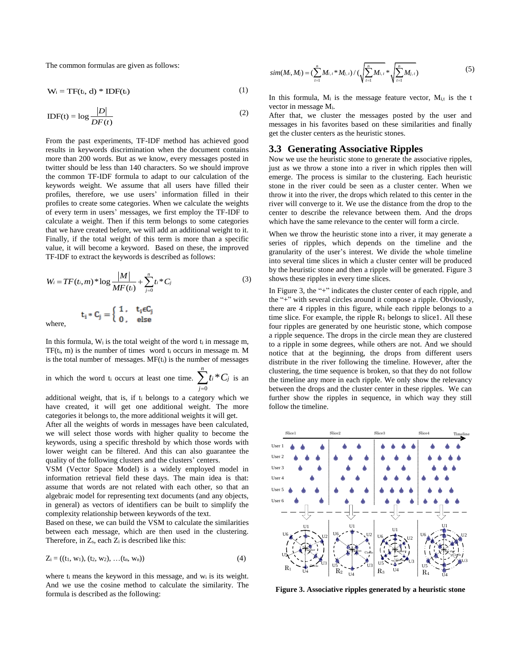The common formulas are given as follows:

$$
W_i = T F(t_i, d) * IDF(t_i)
$$
 (1)

$$
IDF(t) = \log \frac{|D|}{DF(t)}
$$
 (2)

From the past experiments, TF-IDF method has achieved good results in keywords discrimination when the document contains more than 200 words. But as we know, every messages posted in twitter should be less than 140 characters. So we should improve the common TF-IDF formula to adapt to our calculation of the keywords weight. We assume that all users have filled their profiles, therefore, we use users' information filled in their profiles to create some categories. When we calculate the weights of every term in users' messages, we first employ the TF-IDF to calculate a weight. Then if this term belongs to some categories that we have created before, we will add an additional weight to it. Finally, if the total weight of this term is more than a specific value, it will become a keyword. Based on these, the improved TF-IDF to extract the keywords is described as follows:

$$
W_i = TF(t_i, m) * \log \frac{|M|}{MF(t_i)} + \sum_{j=0}^{n} t_i * C_j
$$
\n
$$
\mathbf{t}_i * \mathbf{C}_j = \begin{cases} 1, & \mathbf{t}_i \in \mathbf{C}_j \\ 0, & \text{else} \end{cases}
$$
\n(3)

where,

In this formula,  $W_i$  is the total weight of the word  $t_i$  in message m, TF(ti, m) is the number of times word t<sup>i</sup> occurs in message m. M is the total number of messages.  $MF(t_i)$  is the number of messages

in which the word t<sub>i</sub> occurs at least one time.  $\sum t_i^*$ 0 *n*  $\sum t_i * C_j$  is an *j*  $=$ 

additional weight, that is, if t<sup>i</sup> belongs to a category which we have created, it will get one additional weight. The more categories it belongs to, the more additional weights it will get.

After all the weights of words in messages have been calculated, we will select those words with higher quality to become the keywords, using a specific threshold by which those words with lower weight can be filtered. And this can also guarantee the quality of the following clusters and the clusters' centers.

VSM (Vector Space Model) is a widely employed model in information retrieval field these days. The main idea is that: assume that words are not related with each other, so that an algebraic model for representing text documents (and any objects, in general) as vectors of identifiers can be built to simplify the complexity relationship between keywords of the text.

Based on these, we can build the VSM to calculate the similarities between each message, which are then used in the clustering. Therefore, in  $Z_s$ , each  $Z_i$  is described like this:

$$
Z_i = ((t_1, w_1), (t_2, w_2), \dots (t_n, w_n))
$$
\n(4)

where t<sub>i</sub> means the keyword in this message, and w<sub>i</sub> is its weight. And we use the cosine method to calculate the similarity. The formula is described as the following:

$$
sim(M_i, M_j) = (\sum_{t=1}^n M_{i,t} * M_{j,t}) / (\sqrt{\sum_{t=1}^n M_{i,t}} * \sqrt{\sum_{t=1}^n M_{j,t}})
$$
 (5)

In this formula,  $M_i$  is the message feature vector,  $M_{i,t}$  is the t vector in message Mi.

After that, we cluster the messages posted by the user and messages in his favorites based on these similarities and finally get the cluster centers as the heuristic stones.

# **3.3 Generating Associative Ripples**

Now we use the heuristic stone to generate the associative ripples, just as we throw a stone into a river in which ripples then will emerge. The process is similar to the clustering. Each heuristic stone in the river could be seen as a cluster center. When we throw it into the river, the drops which related to this center in the river will converge to it. We use the distance from the drop to the center to describe the relevance between them. And the drops which have the same relevance to the center will form a circle.

When we throw the heuristic stone into a river, it may generate a series of ripples, which depends on the timeline and the granularity of the user's interest. We divide the whole timeline into several time slices in which a cluster center will be produced by the heuristic stone and then a ripple will be generated. Figure 3 shows these ripples in every time slices.

In Figure 3, the "+" indicates the cluster center of each ripple, and the "+" with several circles around it compose a ripple. Obviously, there are 4 ripples in this figure, while each ripple belongs to a time slice. For example, the ripple  $R_1$  belongs to slice1. All these four ripples are generated by one heuristic stone, which compose a ripple sequence. The drops in the circle mean they are clustered to a ripple in some degrees, while others are not. And we should notice that at the beginning, the drops from different users distribute in the river following the timeline. However, after the clustering, the time sequence is broken, so that they do not follow the timeline any more in each ripple. We only show the relevancy between the drops and the cluster center in these ripples. We can further show the ripples in sequence, in which way they still follow the timeline.



**Figure 3. Associative ripples generated by a heuristic stone**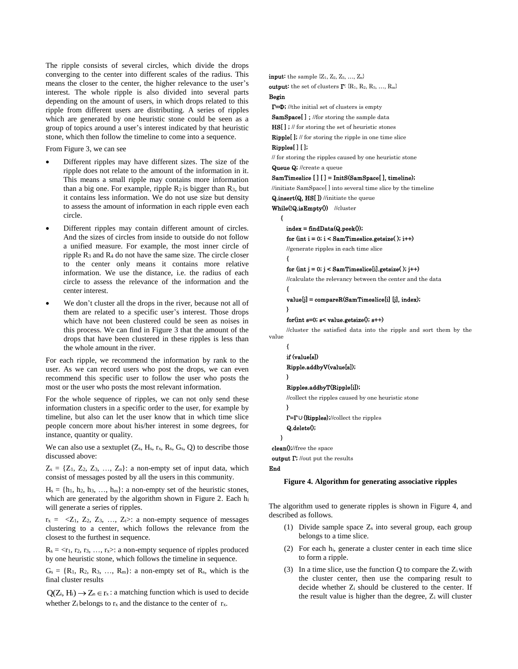The ripple consists of several circles, which divide the drops converging to the center into different scales of the radius. This means the closer to the center, the higher relevance to the user's interest. The whole ripple is also divided into several parts depending on the amount of users, in which drops related to this ripple from different users are distributing. A series of ripples which are generated by one heuristic stone could be seen as a group of topics around a user's interest indicated by that heuristic stone, which then follow the timeline to come into a sequence.

From Figure 3, we can see

- Different ripples may have different sizes. The size of the ripple does not relate to the amount of the information in it. This means a small ripple may contains more information than a big one. For example, ripple  $R_2$  is bigger than  $R_3$ , but it contains less information. We do not use size but density to assess the amount of information in each ripple even each circle.
- Different ripples may contain different amount of circles. And the sizes of circles from inside to outside do not follow a unified measure. For example, the most inner circle of ripple  $R_3$  and  $R_4$  do not have the same size. The circle closer to the center only means it contains more relative information. We use the distance, i.e. the radius of each circle to assess the relevance of the information and the center interest.
- We don't cluster all the drops in the river, because not all of them are related to a specific user's interest. Those drops which have not been clustered could be seen as noises in this process. We can find in Figure 3 that the amount of the drops that have been clustered in these ripples is less than the whole amount in the river.

For each ripple, we recommend the information by rank to the user. As we can record users who post the drops, we can even recommend this specific user to follow the user who posts the most or the user who posts the most relevant information.

For the whole sequence of ripples, we can not only send these information clusters in a specific order to the user, for example by timeline, but also can let the user know that in which time slice people concern more about his/her interest in some degrees, for instance, quantity or quality.

We can also use a sextuplet  $(Z_s, H_s, r_x, R_s, G_s, Q)$  to describe those discussed above:

 $Z_s = \{Z_1, Z_2, Z_3, \ldots, Z_n\}$ : a non-empty set of input data, which consist of messages posted by all the users in this community.

 $H_s = \{h_1, h_2, h_3, ..., h_m\}$ : a non-empty set of the heuristic stones, which are generated by the algorithm shown in Figure 2. Each hi will generate a series of ripples.

 $r_x = \langle Z_1, Z_2, Z_3, \ldots, Z_t \rangle$ : a non-empty sequence of messages clustering to a center, which follows the relevance from the closest to the furthest in sequence.

 $R_s = \langle r_1, r_2, r_3, \ldots, r_x \rangle$ : a non-empty sequence of ripples produced by one heuristic stone, which follows the timeline in sequence.

 $G_s = \{R_1, R_2, R_3, \ldots, R_m\}$ : a non-empty set of  $R_s$ , which is the final cluster results

 $Q(Z_i, H_i) \rightarrow Z_n \in r_x$ : a matching function which is used to decide whether  $Z_i$  belongs to  $r_x$  and the distance to the center of  $r_x$ .

**input:** the sample  $\{Z_1, Z_2, Z_3, \ldots, Z_n\}$ **output:** the set of clusters  $\mathbf{\Gamma}$ : {R<sub>1</sub>, R<sub>2</sub>, R<sub>3</sub>, ..., R<sub>m</sub>} Begin Γ=Ф; //the initial set of clusters is empty SamSpace[]; //for storing the sample data HS[ ] ; // for storing the set of heuristic stones Ripple[ ]; // for storing the ripple in one time slice Ripples[ ] [ ]; // for storing the ripples caused by one heuristic stone Queue Q; //create a queue SamTimeslice [ ] [ ] = InitS(SamSpace[ ], timeline); //initiate SamSpace[ ] into several time slice by the timeline Q.insert(Q, HS[ ]) //initiate the queue While(!Q.isEmpty()) //cluster {  $index = findData(Q, peak());$ for  $(int i = 0; i < SamTimeslice.getsize()$ ;  $i++)$ //generate ripples in each time slice { for  $(int j = 0; j < SamTimeslice[i].gets(i); j++)$ //calculate the relevancy between the center and the data { value[j] = compareR(SamTimeslice[i] [j], index); }  $for(int s=0; s< value.getsize(); s++)$ //cluster the satisfied data into the ripple and sort them by the value { if (value[s]) Ripple.addbyV(value[s]); } Ripples.addbyT(Ripple[i]); //collect the ripples caused by one heuristic stone } Γ=Γ∪{Ripples};//collect the ripples Q.delete(); } clean();//free the space output  $\Gamma$  //out put the results End **Figure 4. Algorithm for generating associative ripples**

The algorithm used to generate ripples is shown in Figure 4, and described as follows.

- (1) Divide sample space  $Z_s$  into several group, each group belongs to a time slice.
- (2) For each hi, generate a cluster center in each time slice to form a ripple.
- (3) In a time slice, use the function  $Q$  to compare the  $Z_i$  with the cluster center, then use the comparing result to decide whether Z<sup>i</sup> should be clustered to the center. If the result value is higher than the degree,  $Z_i$  will cluster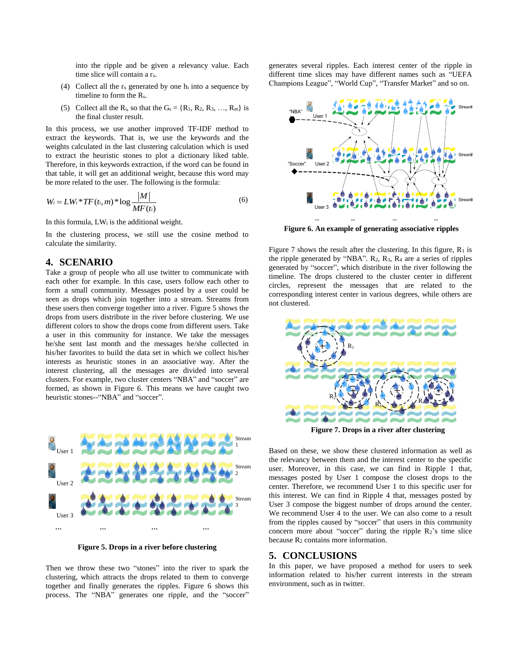into the ripple and be given a relevancy value. Each time slice will contain a r<sub>x</sub>.

- (4) Collect all the  $r_x$  generated by one  $h_i$  into a sequence by timeline to form the Rs.
- (5) Collect all the R<sub>i</sub>, so that the  $G_s = \{R_1, R_2, R_3, \ldots, R_m\}$  is the final cluster result.

In this process, we use another improved TF-IDF method to extract the keywords. That is, we use the keywords and the weights calculated in the last clustering calculation which is used to extract the heuristic stones to plot a dictionary liked table. Therefore, in this keywords extraction, if the word can be found in that table, it will get an additional weight, because this word may be more related to the user. The following is the formula:

$$
W_i = LW_i * TF(t_i, m) * \log \frac{|M|}{MF(t_i)}
$$
\n<sup>(6)</sup>

In this formula, LW<sup>i</sup> is the additional weight.

In the clustering process, we still use the cosine method to calculate the similarity.

# **4. SCENARIO**

Take a group of people who all use twitter to communicate with each other for example. In this case, users follow each other to form a small community. Messages posted by a user could be seen as drops which join together into a stream. Streams from these users then converge together into a river. Figure 5 shows the drops from users distribute in the river before clustering. We use different colors to show the drops come from different users. Take a user in this community for instance. We take the messages he/she sent last month and the messages he/she collected in his/her favorites to build the data set in which we collect his/her interests as heuristic stones in an associative way. After the interest clustering, all the messages are divided into several clusters. For example, two cluster centers "NBA" and "soccer" are formed, as shown in Figure 6. This means we have caught two heuristic stones--"NBA" and "soccer".



**Figure 5. Drops in a river before clustering**

Then we throw these two "stones" into the river to spark the clustering, which attracts the drops related to them to converge together and finally generates the ripples. Figure 6 shows this process. The "NBA" generates one ripple, and the "soccer"

generates several ripples. Each interest center of the ripple in different time slices may have different names such as "UEFA Champions League", "World Cup", "Transfer Market" and so on.



**Figure 6. An example of generating associative ripples**

Figure 7 shows the result after the clustering. In this figure,  $R_1$  is the ripple generated by "NBA".  $R_2$ ,  $R_3$ ,  $R_4$  are a series of ripples generated by "soccer", which distribute in the river following the timeline. The drops clustered to the cluster center in different circles, represent the messages that are related to the corresponding interest center in various degrees, while others are not clustered.



**Figure 7. Drops in a river after clustering**

Based on these, we show these clustered information as well as the relevancy between them and the interest center to the specific user. Moreover, in this case, we can find in Ripple 1 that, messages posted by User 1 compose the closest drops to the center. Therefore, we recommend User 1 to this specific user for this interest. We can find in Ripple 4 that, messages posted by User 3 compose the biggest number of drops around the center. We recommend User 4 to the user. We can also come to a result from the ripples caused by "soccer" that users in this community concern more about "soccer" during the ripple  $R_2$ 's time slice because  $R_2$  contains more information.

#### **5. CONCLUSIONS**

In this paper, we have proposed a method for users to seek information related to his/her current interests in the stream environment, such as in twitter.